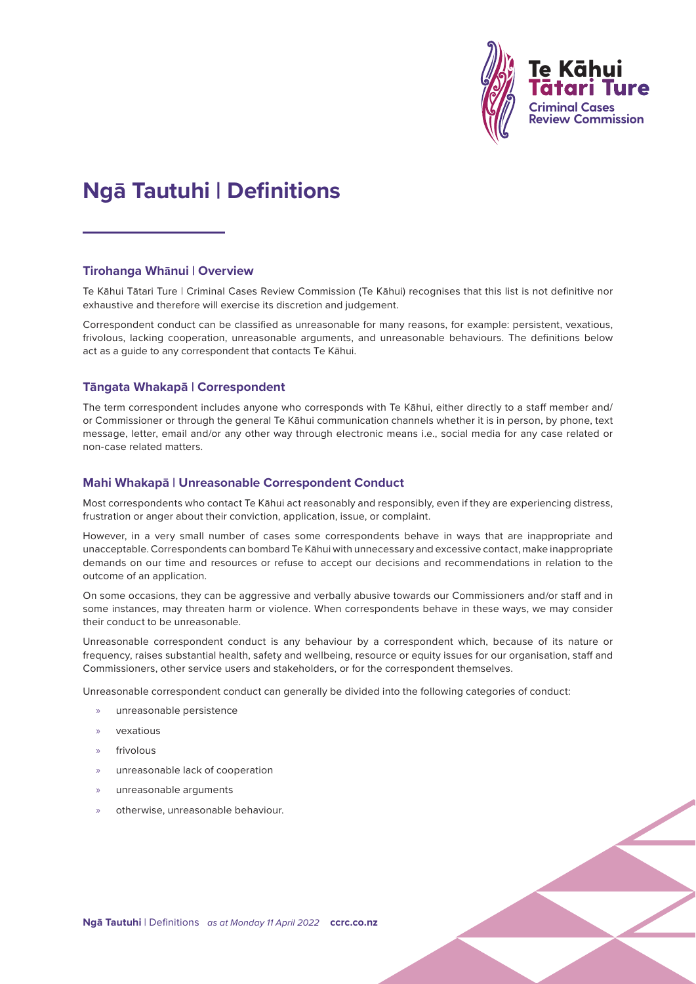

# **Ngā Tautuhi | Definitions**

#### **Tirohanga Whānui | Overview**

Te Kāhui Tātari Ture | Criminal Cases Review Commission (Te Kāhui) recognises that this list is not definitive nor exhaustive and therefore will exercise its discretion and judgement.

Correspondent conduct can be classified as unreasonable for many reasons, for example: persistent, vexatious, frivolous, lacking cooperation, unreasonable arguments, and unreasonable behaviours. The definitions below act as a guide to any correspondent that contacts Te Kāhui.

#### **Tāngata Whakapā | Correspondent**

The term correspondent includes anyone who corresponds with Te Kāhui, either directly to a staff member and/ or Commissioner or through the general Te Kāhui communication channels whether it is in person, by phone, text message, letter, email and/or any other way through electronic means i.e., social media for any case related or non-case related matters.

#### **Mahi Whakapā | Unreasonable Correspondent Conduct**

Most correspondents who contact Te Kāhui act reasonably and responsibly, even if they are experiencing distress, frustration or anger about their conviction, application, issue, or complaint.

However, in a very small number of cases some correspondents behave in ways that are inappropriate and unacceptable. Correspondents can bombard Te Kāhui with unnecessary and excessive contact, make inappropriate demands on our time and resources or refuse to accept our decisions and recommendations in relation to the outcome of an application.

On some occasions, they can be aggressive and verbally abusive towards our Commissioners and/or staff and in some instances, may threaten harm or violence. When correspondents behave in these ways, we may consider their conduct to be unreasonable.

Unreasonable correspondent conduct is any behaviour by a correspondent which, because of its nature or frequency, raises substantial health, safety and wellbeing, resource or equity issues for our organisation, staff and Commissioners, other service users and stakeholders, or for the correspondent themselves.

Unreasonable correspondent conduct can generally be divided into the following categories of conduct:

- » unreasonable persistence
- » vexatious
- frivolous
- » unreasonable lack of cooperation
- » unreasonable arguments
- » otherwise, unreasonable behaviour.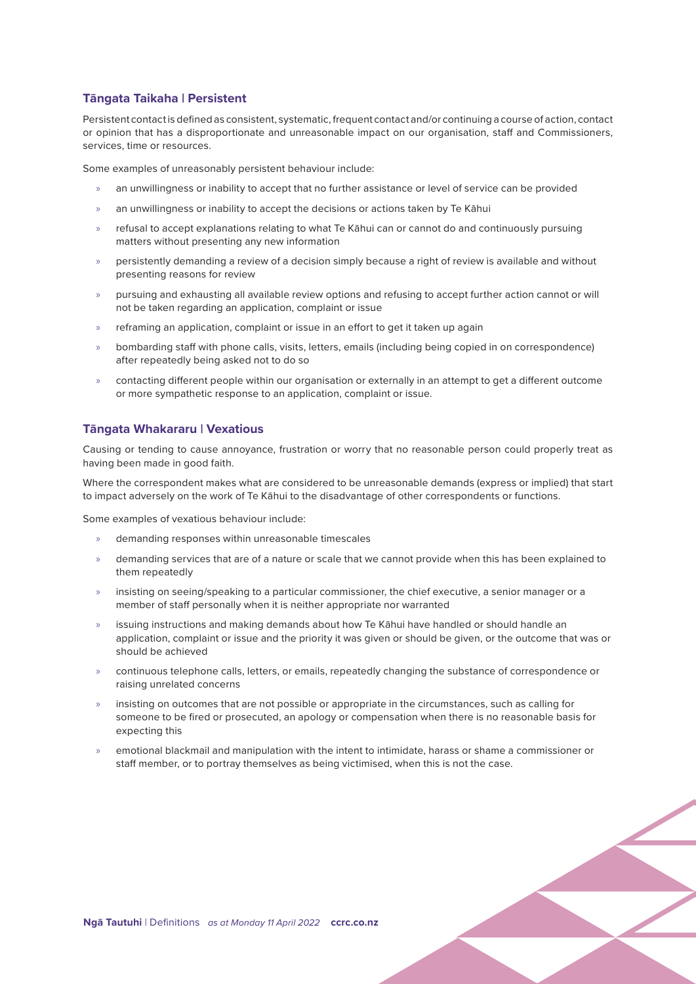# **Tāngata Taikaha | Persistent**

Persistent contact is defined as consistent, systematic, frequent contact and/or continuing a course of action, contact or opinion that has a disproportionate and unreasonable impact on our organisation, staff and Commissioners, services, time or resources.

Some examples of unreasonably persistent behaviour include:

- » an unwillingness or inability to accept that no further assistance or level of service can be provided
- an unwillingness or inability to accept the decisions or actions taken by Te Kāhui
- » refusal to accept explanations relating to what Te Kāhui can or cannot do and continuously pursuing matters without presenting any new information
- » persistently demanding a review of a decision simply because a right of review is available and without presenting reasons for review
- » pursuing and exhausting all available review options and refusing to accept further action cannot or will not be taken regarding an application, complaint or issue
- » reframing an application, complaint or issue in an effort to get it taken up again
- » bombarding staff with phone calls, visits, letters, emails (including being copied in on correspondence) after repeatedly being asked not to do so
- » contacting different people within our organisation or externally in an attempt to get a different outcome or more sympathetic response to an application, complaint or issue.

### **Tāngata Whakararu | Vexatious**

Causing or tending to cause annoyance, frustration or worry that no reasonable person could properly treat as having been made in good faith.

Where the correspondent makes what are considered to be unreasonable demands (express or implied) that start to impact adversely on the work of Te Kāhui to the disadvantage of other correspondents or functions.

Some examples of vexatious behaviour include:

- » demanding responses within unreasonable timescales
- » demanding services that are of a nature or scale that we cannot provide when this has been explained to them repeatedly
- » insisting on seeing/speaking to a particular commissioner, the chief executive, a senior manager or a member of staff personally when it is neither appropriate nor warranted
- » issuing instructions and making demands about how Te Kāhui have handled or should handle an application, complaint or issue and the priority it was given or should be given, or the outcome that was or should be achieved
- » continuous telephone calls, letters, or emails, repeatedly changing the substance of correspondence or raising unrelated concerns
- » insisting on outcomes that are not possible or appropriate in the circumstances, such as calling for someone to be fired or prosecuted, an apology or compensation when there is no reasonable basis for expecting this
- » emotional blackmail and manipulation with the intent to intimidate, harass or shame a commissioner or staff member, or to portray themselves as being victimised, when this is not the case.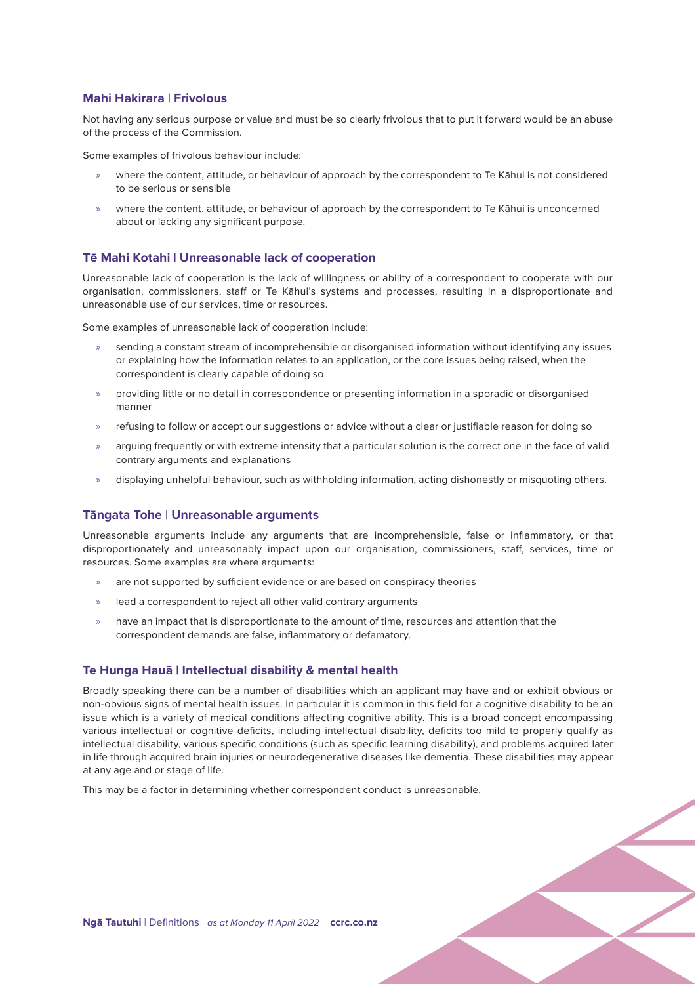### **Mahi Hakirara | Frivolous**

Not having any serious purpose or value and must be so clearly frivolous that to put it forward would be an abuse of the process of the Commission.

Some examples of frivolous behaviour include:

- » where the content, attitude, or behaviour of approach by the correspondent to Te Kāhui is not considered to be serious or sensible
- » where the content, attitude, or behaviour of approach by the correspondent to Te Kāhui is unconcerned about or lacking any significant purpose.

## **Tē Mahi Kotahi | Unreasonable lack of cooperation**

Unreasonable lack of cooperation is the lack of willingness or ability of a correspondent to cooperate with our organisation, commissioners, staff or Te Kāhui's systems and processes, resulting in a disproportionate and unreasonable use of our services, time or resources.

Some examples of unreasonable lack of cooperation include:

- » sending a constant stream of incomprehensible or disorganised information without identifying any issues or explaining how the information relates to an application, or the core issues being raised, when the correspondent is clearly capable of doing so
- » providing little or no detail in correspondence or presenting information in a sporadic or disorganised manner
- » refusing to follow or accept our suggestions or advice without a clear or justifiable reason for doing so
- » arguing frequently or with extreme intensity that a particular solution is the correct one in the face of valid contrary arguments and explanations
- » displaying unhelpful behaviour, such as withholding information, acting dishonestly or misquoting others.

### **Tāngata Tohe | Unreasonable arguments**

Unreasonable arguments include any arguments that are incomprehensible, false or inflammatory, or that disproportionately and unreasonably impact upon our organisation, commissioners, staff, services, time or resources. Some examples are where arguments:

- are not supported by sufficient evidence or are based on conspiracy theories
- » lead a correspondent to reject all other valid contrary arguments
- » have an impact that is disproportionate to the amount of time, resources and attention that the correspondent demands are false, inflammatory or defamatory.

### **Te Hunga Hauā | Intellectual disability & mental health**

Broadly speaking there can be a number of disabilities which an applicant may have and or exhibit obvious or non-obvious signs of mental health issues. In particular it is common in this field for a cognitive disability to be an issue which is a variety of medical conditions affecting cognitive ability. This is a broad concept encompassing various intellectual or cognitive deficits, including intellectual disability, deficits too mild to properly qualify as intellectual disability, various specific conditions (such as specific learning disability), and problems acquired later in life through acquired brain injuries or neurodegenerative diseases like dementia. These disabilities may appear at any age and or stage of life.

This may be a factor in determining whether correspondent conduct is unreasonable.